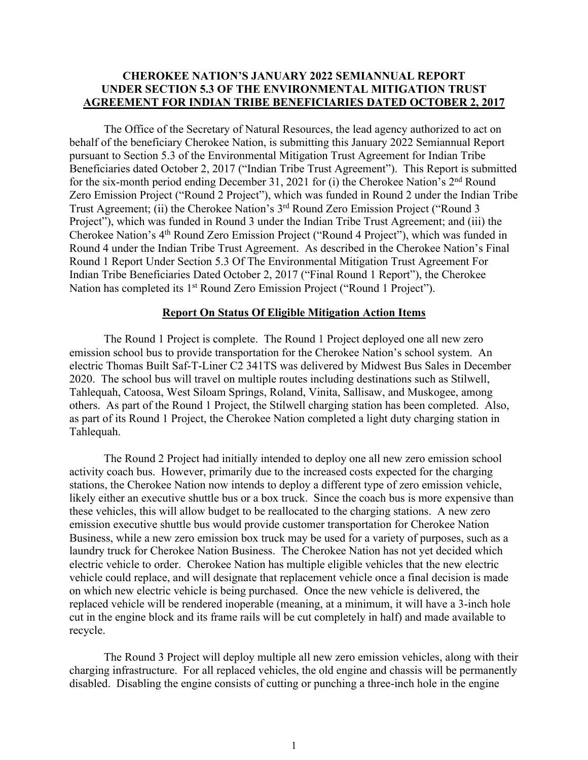## **CHEROKEE NATION'S JANUARY 2022 SEMIANNUAL REPORT UNDER SECTION 5.3 OF THE ENVIRONMENTAL MITIGATION TRUST AGREEMENT FOR INDIAN TRIBE BENEFICIARIES DATED OCTOBER 2, 2017**

The Office of the Secretary of Natural Resources, the lead agency authorized to act on behalf of the beneficiary Cherokee Nation, is submitting this January 2022 Semiannual Report pursuant to Section 5.3 of the Environmental Mitigation Trust Agreement for Indian Tribe Beneficiaries dated October 2, 2017 ("Indian Tribe Trust Agreement"). This Report is submitted for the six-month period ending December 31, 2021 for (i) the Cherokee Nation's 2nd Round Zero Emission Project ("Round 2 Project"), which was funded in Round 2 under the Indian Tribe Trust Agreement; (ii) the Cherokee Nation's 3rd Round Zero Emission Project ("Round 3 Project"), which was funded in Round 3 under the Indian Tribe Trust Agreement; and (iii) the Cherokee Nation's 4th Round Zero Emission Project ("Round 4 Project"), which was funded in Round 4 under the Indian Tribe Trust Agreement. As described in the Cherokee Nation's Final Round 1 Report Under Section 5.3 Of The Environmental Mitigation Trust Agreement For Indian Tribe Beneficiaries Dated October 2, 2017 ("Final Round 1 Report"), the Cherokee Nation has completed its 1<sup>st</sup> Round Zero Emission Project ("Round 1 Project").

#### **Report On Status Of Eligible Mitigation Action Items**

The Round 1 Project is complete. The Round 1 Project deployed one all new zero emission school bus to provide transportation for the Cherokee Nation's school system. An electric Thomas Built Saf-T-Liner C2 341TS was delivered by Midwest Bus Sales in December 2020. The school bus will travel on multiple routes including destinations such as Stilwell, Tahlequah, Catoosa, West Siloam Springs, Roland, Vinita, Sallisaw, and Muskogee, among others. As part of the Round 1 Project, the Stilwell charging station has been completed. Also, as part of its Round 1 Project, the Cherokee Nation completed a light duty charging station in Tahlequah.

The Round 2 Project had initially intended to deploy one all new zero emission school activity coach bus. However, primarily due to the increased costs expected for the charging stations, the Cherokee Nation now intends to deploy a different type of zero emission vehicle, likely either an executive shuttle bus or a box truck. Since the coach bus is more expensive than these vehicles, this will allow budget to be reallocated to the charging stations. A new zero emission executive shuttle bus would provide customer transportation for Cherokee Nation Business, while a new zero emission box truck may be used for a variety of purposes, such as a laundry truck for Cherokee Nation Business. The Cherokee Nation has not yet decided which electric vehicle to order. Cherokee Nation has multiple eligible vehicles that the new electric vehicle could replace, and will designate that replacement vehicle once a final decision is made on which new electric vehicle is being purchased. Once the new vehicle is delivered, the replaced vehicle will be rendered inoperable (meaning, at a minimum, it will have a 3-inch hole cut in the engine block and its frame rails will be cut completely in half) and made available to recycle.

The Round 3 Project will deploy multiple all new zero emission vehicles, along with their charging infrastructure. For all replaced vehicles, the old engine and chassis will be permanently disabled. Disabling the engine consists of cutting or punching a three-inch hole in the engine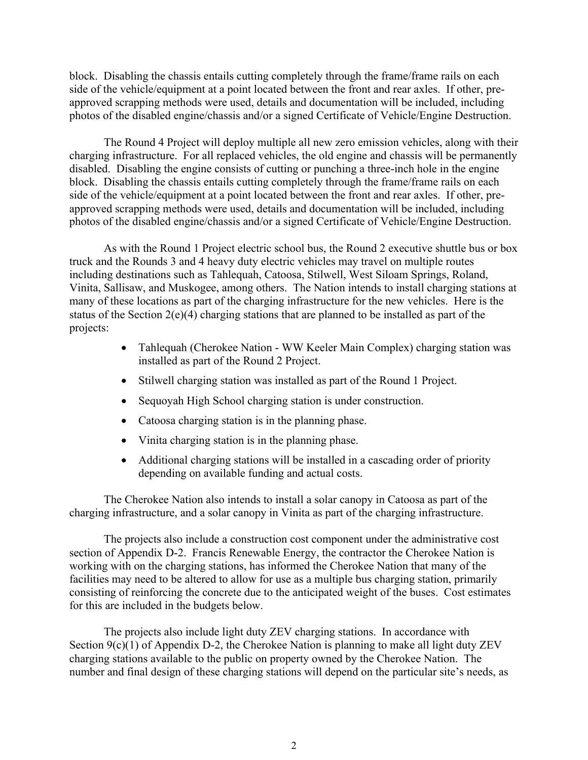block. Disabling the chassis entails cutting completely through the frame/frame rails on each side of the vehicle/equipment at a point located between the front and rear axles. If other, preapproved scrapping methods were used, details and documentation will be included, including photos of the disabled engine/chassis and/or a signed Certificate of Vehicle/Engine Destruction.

The Round 4 Project will deploy multiple all new zero emission vehicles, along with their charging infrastructure. For all replaced vehicles, the old engine and chassis will be permanently disabled. Disabling the engine consists of cutting or punching a three-inch hole in the engine block. Disabling the chassis entails cutting completely through the frame/frame rails on each side of the vehicle/equipment at a point located between the front and rear axles. If other, preapproved scrapping methods were used, details and documentation will be included, including photos of the disabled engine/chassis and/or a signed Certificate of Vehicle/Engine Destruction.

As with the Round 1 Project electric school bus, the Round 2 executive shuttle bus or box truck and the Rounds 3 and 4 heavy duty electric vehicles may travel on multiple routes including destinations such as Tahlequah, Catoosa, Stilwell, West Siloam Springs, Roland, Vinita, Sallisaw, and Muskogee, among others. The Nation intends to install charging stations at many of these locations as part of the charging infrastructure for the new vehicles. Here is the status of the Section 2(e)(4) charging stations that are planned to be installed as part of the projects:

- Tahlequah (Cherokee Nation WW Keeler Main Complex) charging station was installed as part of the Round 2 Project.
- Stilwell charging station was installed as part of the Round 1 Project.
- Sequoyah High School charging station is under construction.
- Catoosa charging station is in the planning phase.
- Vinita charging station is in the planning phase.
- Additional charging stations will be installed in a cascading order of priority depending on available funding and actual costs.

The Cherokee Nation also intends to install a solar canopy in Catoosa as part of the charging infrastructure, and a solar canopy in Vinita as part of the charging infrastructure.

The projects also include a construction cost component under the administrative cost section of Appendix D-2. Francis Renewable Energy, the contractor the Cherokee Nation is working with on the charging stations, has informed the Cherokee Nation that many of the facilities may need to be altered to allow for use as a multiple bus charging station, primarily consisting of reinforcing the concrete due to the anticipated weight of the buses. Cost estimates for this are included in the budgets below.

The projects also include light duty ZEV charging stations. In accordance with Section 9(c)(1) of Appendix D-2, the Cherokee Nation is planning to make all light duty ZEV charging stations available to the public on property owned by the Cherokee Nation. The number and final design of these charging stations will depend on the particular site's needs, as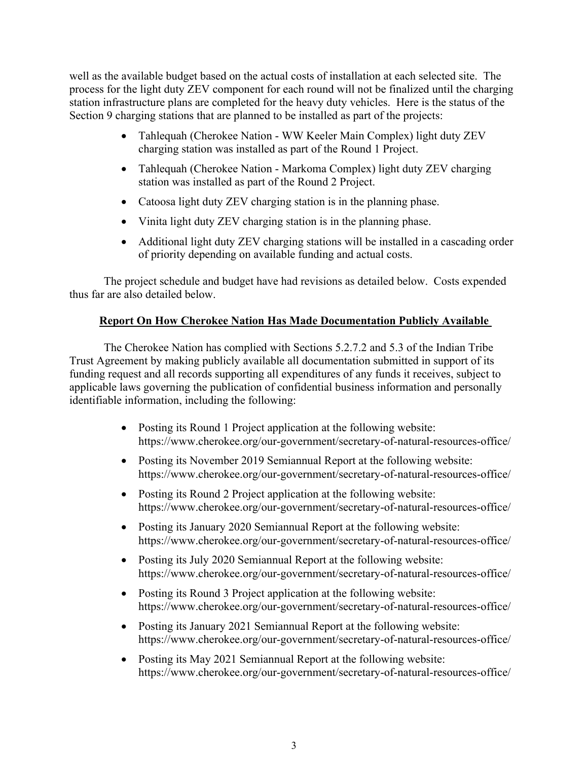well as the available budget based on the actual costs of installation at each selected site. The process for the light duty ZEV component for each round will not be finalized until the charging station infrastructure plans are completed for the heavy duty vehicles. Here is the status of the Section 9 charging stations that are planned to be installed as part of the projects:

- Tahlequah (Cherokee Nation WW Keeler Main Complex) light duty ZEV charging station was installed as part of the Round 1 Project.
- Tahlequah (Cherokee Nation Markoma Complex) light duty ZEV charging station was installed as part of the Round 2 Project.
- Catoosa light duty ZEV charging station is in the planning phase.
- Vinita light duty ZEV charging station is in the planning phase.
- Additional light duty ZEV charging stations will be installed in a cascading order of priority depending on available funding and actual costs.

The project schedule and budget have had revisions as detailed below. Costs expended thus far are also detailed below.

## **Report On How Cherokee Nation Has Made Documentation Publicly Available**

The Cherokee Nation has complied with Sections 5.2.7.2 and 5.3 of the Indian Tribe Trust Agreement by making publicly available all documentation submitted in support of its funding request and all records supporting all expenditures of any funds it receives, subject to applicable laws governing the publication of confidential business information and personally identifiable information, including the following:

- Posting its Round 1 Project application at the following website: https://www.cherokee.org/our-government/secretary-of-natural-resources-office/
- Posting its November 2019 Semiannual Report at the following website: https://www.cherokee.org/our-government/secretary-of-natural-resources-office/
- Posting its Round 2 Project application at the following website: https://www.cherokee.org/our-government/secretary-of-natural-resources-office/
- Posting its January 2020 Semiannual Report at the following website: https://www.cherokee.org/our-government/secretary-of-natural-resources-office/
- Posting its July 2020 Semiannual Report at the following website: https://www.cherokee.org/our-government/secretary-of-natural-resources-office/
- Posting its Round 3 Project application at the following website: https://www.cherokee.org/our-government/secretary-of-natural-resources-office/
- Posting its January 2021 Semiannual Report at the following website: https://www.cherokee.org/our-government/secretary-of-natural-resources-office/
- Posting its May 2021 Semiannual Report at the following website: https://www.cherokee.org/our-government/secretary-of-natural-resources-office/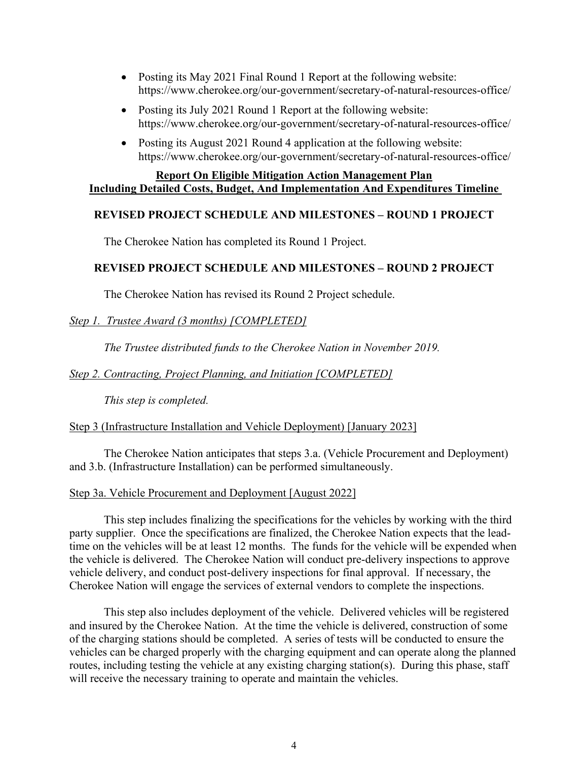- Posting its May 2021 Final Round 1 Report at the following website: https://www.cherokee.org/our-government/secretary-of-natural-resources-office/
- Posting its July 2021 Round 1 Report at the following website: https://www.cherokee.org/our-government/secretary-of-natural-resources-office/
- Posting its August 2021 Round 4 application at the following website: https://www.cherokee.org/our-government/secretary-of-natural-resources-office/

## **Report On Eligible Mitigation Action Management Plan Including Detailed Costs, Budget, And Implementation And Expenditures Timeline**

## **REVISED PROJECT SCHEDULE AND MILESTONES – ROUND 1 PROJECT**

The Cherokee Nation has completed its Round 1 Project.

## **REVISED PROJECT SCHEDULE AND MILESTONES – ROUND 2 PROJECT**

The Cherokee Nation has revised its Round 2 Project schedule.

*Step 1. Trustee Award (3 months) [COMPLETED]*

*The Trustee distributed funds to the Cherokee Nation in November 2019.* 

*Step 2. Contracting, Project Planning, and Initiation [COMPLETED]*

*This step is completed.* 

Step 3 (Infrastructure Installation and Vehicle Deployment) [January 2023]

The Cherokee Nation anticipates that steps 3.a. (Vehicle Procurement and Deployment) and 3.b. (Infrastructure Installation) can be performed simultaneously.

Step 3a. Vehicle Procurement and Deployment [August 2022]

This step includes finalizing the specifications for the vehicles by working with the third party supplier. Once the specifications are finalized, the Cherokee Nation expects that the leadtime on the vehicles will be at least 12 months. The funds for the vehicle will be expended when the vehicle is delivered. The Cherokee Nation will conduct pre-delivery inspections to approve vehicle delivery, and conduct post-delivery inspections for final approval. If necessary, the Cherokee Nation will engage the services of external vendors to complete the inspections.

This step also includes deployment of the vehicle. Delivered vehicles will be registered and insured by the Cherokee Nation. At the time the vehicle is delivered, construction of some of the charging stations should be completed. A series of tests will be conducted to ensure the vehicles can be charged properly with the charging equipment and can operate along the planned routes, including testing the vehicle at any existing charging station(s). During this phase, staff will receive the necessary training to operate and maintain the vehicles.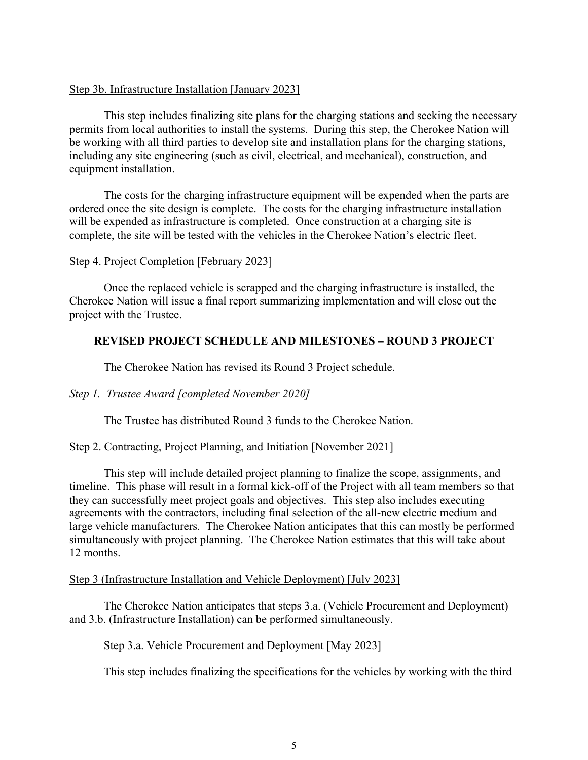### Step 3b. Infrastructure Installation [January 2023]

This step includes finalizing site plans for the charging stations and seeking the necessary permits from local authorities to install the systems. During this step, the Cherokee Nation will be working with all third parties to develop site and installation plans for the charging stations, including any site engineering (such as civil, electrical, and mechanical), construction, and equipment installation.

The costs for the charging infrastructure equipment will be expended when the parts are ordered once the site design is complete. The costs for the charging infrastructure installation will be expended as infrastructure is completed. Once construction at a charging site is complete, the site will be tested with the vehicles in the Cherokee Nation's electric fleet.

#### Step 4. Project Completion [February 2023]

Once the replaced vehicle is scrapped and the charging infrastructure is installed, the Cherokee Nation will issue a final report summarizing implementation and will close out the project with the Trustee.

## **REVISED PROJECT SCHEDULE AND MILESTONES – ROUND 3 PROJECT**

The Cherokee Nation has revised its Round 3 Project schedule.

## *Step 1. Trustee Award [completed November 2020]*

The Trustee has distributed Round 3 funds to the Cherokee Nation.

## Step 2. Contracting, Project Planning, and Initiation [November 2021]

This step will include detailed project planning to finalize the scope, assignments, and timeline. This phase will result in a formal kick-off of the Project with all team members so that they can successfully meet project goals and objectives. This step also includes executing agreements with the contractors, including final selection of the all-new electric medium and large vehicle manufacturers. The Cherokee Nation anticipates that this can mostly be performed simultaneously with project planning. The Cherokee Nation estimates that this will take about 12 months.

## Step 3 (Infrastructure Installation and Vehicle Deployment) [July 2023]

The Cherokee Nation anticipates that steps 3.a. (Vehicle Procurement and Deployment) and 3.b. (Infrastructure Installation) can be performed simultaneously.

## Step 3.a. Vehicle Procurement and Deployment [May 2023]

This step includes finalizing the specifications for the vehicles by working with the third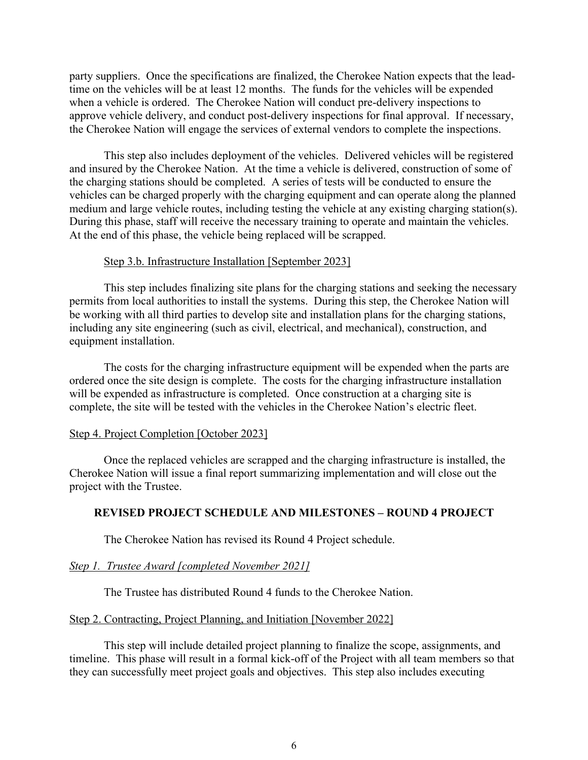party suppliers. Once the specifications are finalized, the Cherokee Nation expects that the leadtime on the vehicles will be at least 12 months. The funds for the vehicles will be expended when a vehicle is ordered. The Cherokee Nation will conduct pre-delivery inspections to approve vehicle delivery, and conduct post-delivery inspections for final approval. If necessary, the Cherokee Nation will engage the services of external vendors to complete the inspections.

This step also includes deployment of the vehicles. Delivered vehicles will be registered and insured by the Cherokee Nation. At the time a vehicle is delivered, construction of some of the charging stations should be completed. A series of tests will be conducted to ensure the vehicles can be charged properly with the charging equipment and can operate along the planned medium and large vehicle routes, including testing the vehicle at any existing charging station(s). During this phase, staff will receive the necessary training to operate and maintain the vehicles. At the end of this phase, the vehicle being replaced will be scrapped.

#### Step 3.b. Infrastructure Installation [September 2023]

This step includes finalizing site plans for the charging stations and seeking the necessary permits from local authorities to install the systems. During this step, the Cherokee Nation will be working with all third parties to develop site and installation plans for the charging stations, including any site engineering (such as civil, electrical, and mechanical), construction, and equipment installation.

The costs for the charging infrastructure equipment will be expended when the parts are ordered once the site design is complete. The costs for the charging infrastructure installation will be expended as infrastructure is completed. Once construction at a charging site is complete, the site will be tested with the vehicles in the Cherokee Nation's electric fleet.

#### Step 4. Project Completion [October 2023]

Once the replaced vehicles are scrapped and the charging infrastructure is installed, the Cherokee Nation will issue a final report summarizing implementation and will close out the project with the Trustee.

## **REVISED PROJECT SCHEDULE AND MILESTONES – ROUND 4 PROJECT**

The Cherokee Nation has revised its Round 4 Project schedule.

## *Step 1. Trustee Award [completed November 2021]*

The Trustee has distributed Round 4 funds to the Cherokee Nation.

#### Step 2. Contracting, Project Planning, and Initiation [November 2022]

This step will include detailed project planning to finalize the scope, assignments, and timeline. This phase will result in a formal kick-off of the Project with all team members so that they can successfully meet project goals and objectives. This step also includes executing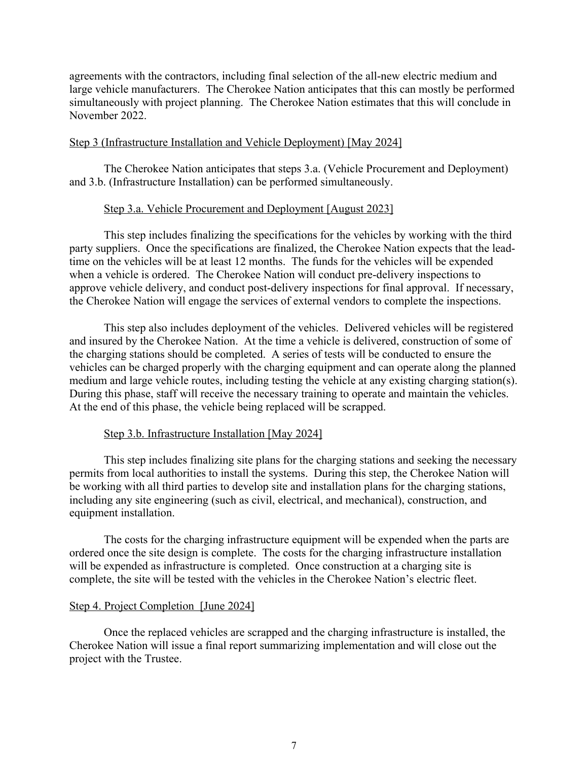agreements with the contractors, including final selection of the all-new electric medium and large vehicle manufacturers. The Cherokee Nation anticipates that this can mostly be performed simultaneously with project planning. The Cherokee Nation estimates that this will conclude in November 2022.

#### Step 3 (Infrastructure Installation and Vehicle Deployment) [May 2024]

The Cherokee Nation anticipates that steps 3.a. (Vehicle Procurement and Deployment) and 3.b. (Infrastructure Installation) can be performed simultaneously.

#### Step 3.a. Vehicle Procurement and Deployment [August 2023]

This step includes finalizing the specifications for the vehicles by working with the third party suppliers. Once the specifications are finalized, the Cherokee Nation expects that the leadtime on the vehicles will be at least 12 months. The funds for the vehicles will be expended when a vehicle is ordered. The Cherokee Nation will conduct pre-delivery inspections to approve vehicle delivery, and conduct post-delivery inspections for final approval. If necessary, the Cherokee Nation will engage the services of external vendors to complete the inspections.

This step also includes deployment of the vehicles. Delivered vehicles will be registered and insured by the Cherokee Nation. At the time a vehicle is delivered, construction of some of the charging stations should be completed. A series of tests will be conducted to ensure the vehicles can be charged properly with the charging equipment and can operate along the planned medium and large vehicle routes, including testing the vehicle at any existing charging station(s). During this phase, staff will receive the necessary training to operate and maintain the vehicles. At the end of this phase, the vehicle being replaced will be scrapped.

#### Step 3.b. Infrastructure Installation [May 2024]

This step includes finalizing site plans for the charging stations and seeking the necessary permits from local authorities to install the systems. During this step, the Cherokee Nation will be working with all third parties to develop site and installation plans for the charging stations, including any site engineering (such as civil, electrical, and mechanical), construction, and equipment installation.

The costs for the charging infrastructure equipment will be expended when the parts are ordered once the site design is complete. The costs for the charging infrastructure installation will be expended as infrastructure is completed. Once construction at a charging site is complete, the site will be tested with the vehicles in the Cherokee Nation's electric fleet.

#### Step 4. Project Completion [June 2024]

Once the replaced vehicles are scrapped and the charging infrastructure is installed, the Cherokee Nation will issue a final report summarizing implementation and will close out the project with the Trustee.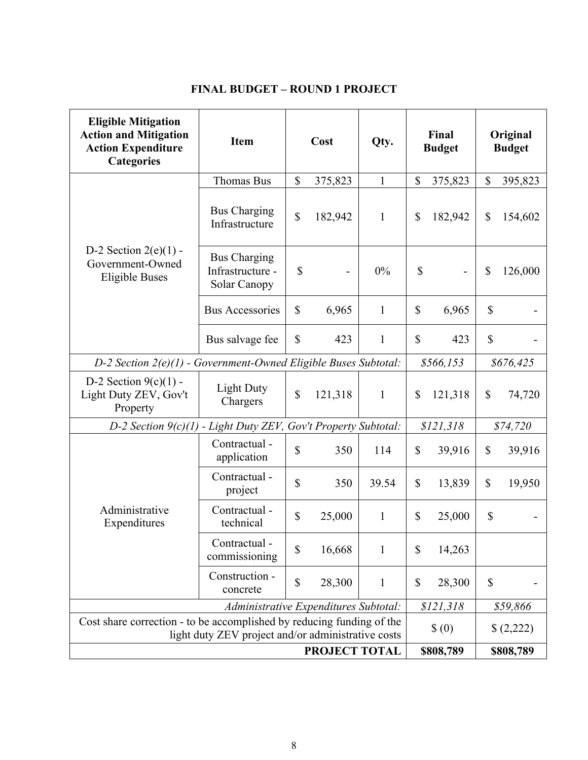|  | <b>FINAL BUDGET – ROUND 1 PROJECT</b> |  |  |
|--|---------------------------------------|--|--|
|--|---------------------------------------|--|--|

| <b>Eligible Mitigation</b><br><b>Action and Mitigation</b><br><b>Action Expenditure</b><br><b>Categories</b>                | <b>Item</b>                                             |              | Cost                     | Qty.         | Final<br><b>Budget</b> |           | Original<br><b>Budget</b> |           |
|-----------------------------------------------------------------------------------------------------------------------------|---------------------------------------------------------|--------------|--------------------------|--------------|------------------------|-----------|---------------------------|-----------|
|                                                                                                                             | <b>Thomas Bus</b>                                       | \$           | 375,823                  | $\mathbf{1}$ | $\mathbb{S}$           | 375,823   | $\mathbb{S}$              | 395,823   |
|                                                                                                                             | <b>Bus Charging</b><br>Infrastructure                   | $\mathbb{S}$ | 182,942                  | $\mathbf{1}$ | $\mathbb{S}$           | 182,942   | $\mathbb{S}$              | 154,602   |
| D-2 Section $2(e)(1)$ -<br>Government-Owned<br><b>Eligible Buses</b>                                                        | <b>Bus Charging</b><br>Infrastructure -<br>Solar Canopy | \$           | $\overline{\phantom{a}}$ | 0%           | \$                     |           | \$                        | 126,000   |
|                                                                                                                             | <b>Bus Accessories</b>                                  | $\mathbb{S}$ | 6,965                    | $\mathbf{1}$ | $\mathbb{S}$           | 6,965     | $\mathbb{S}$              |           |
|                                                                                                                             | Bus salvage fee                                         | $\mathbb{S}$ | 423                      | $\mathbf{1}$ | $\mathbb{S}$           | 423       | $\mathbb{S}$              |           |
| D-2 Section 2(e)(1) - Government-Owned Eligible Buses Subtotal:                                                             |                                                         |              |                          |              | \$566,153              |           | \$676,425                 |           |
| D-2 Section $9(c)(1)$ -<br>Light Duty ZEV, Gov't<br>Property                                                                | <b>Light Duty</b><br>Chargers                           | \$           | 121,318                  | $\mathbf{1}$ | $\mathbb{S}$           | 121,318   | $\mathbb{S}$              | 74,720    |
| D-2 Section $9(c)(1)$                                                                                                       | - Light Duty ZEV, Gov't Property Subtotal:              |              |                          |              |                        | \$121,318 |                           | \$74,720  |
|                                                                                                                             | Contractual -<br>application                            | $\mathbb{S}$ | 350                      | 114          | \$                     | 39,916    | $\mathbb{S}$              | 39,916    |
|                                                                                                                             | Contractual -<br>project                                | $\mathbb{S}$ | 350                      | 39.54        | \$                     | 13,839    | $\mathbb{S}$              | 19,950    |
| Administrative<br>Expenditures                                                                                              | Contractual -<br>technical                              | \$           | 25,000                   | $\mathbf{1}$ | $\mathbb{S}$           | 25,000    | $\mathcal{S}$             |           |
|                                                                                                                             | Contractual -<br>commissioning                          | \$           | 16,668                   | $\mathbf{1}$ | \$                     | 14,263    |                           |           |
|                                                                                                                             | Construction -<br>concrete                              | \$           | 28,300                   | $\mathbf{1}$ | \$                     | 28,300    | \$                        |           |
| Administrative Expenditures Subtotal:                                                                                       |                                                         |              |                          |              | \$121,318              |           | \$59,866                  |           |
| Cost share correction - to be accomplished by reducing funding of the<br>light duty ZEV project and/or administrative costs |                                                         |              |                          |              |                        | $\S(0)$   |                           | \$(2,222) |
| PROJECT TOTAL                                                                                                               |                                                         |              |                          |              |                        | \$808,789 |                           | \$808,789 |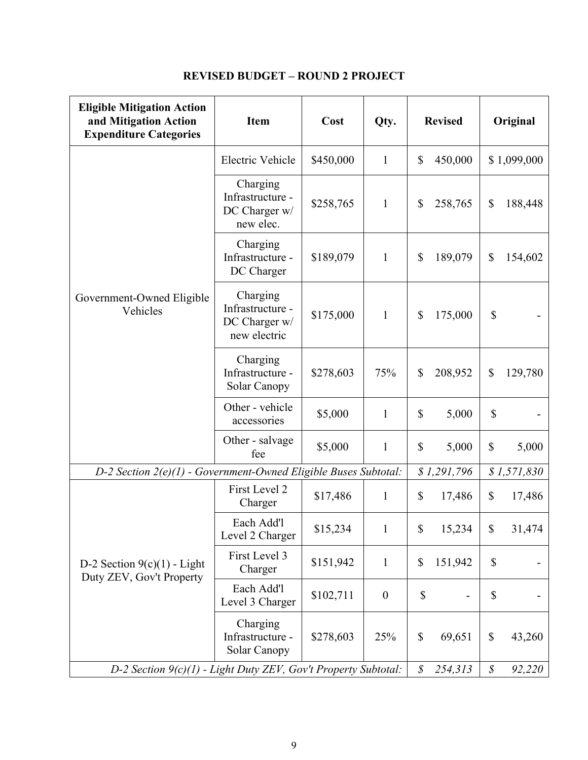| <b>Eligible Mitigation Action</b><br>and Mitigation Action<br><b>Expenditure Categories</b> | <b>Item</b>                                                   | Cost                     | Qty.                   | <b>Revised</b>                       | Original                            |
|---------------------------------------------------------------------------------------------|---------------------------------------------------------------|--------------------------|------------------------|--------------------------------------|-------------------------------------|
|                                                                                             | Electric Vehicle                                              | \$450,000                | $\mathbf{1}$           | \$<br>450,000                        | \$1,099,000                         |
|                                                                                             | Charging<br>Infrastructure -<br>DC Charger w/<br>new elec.    | \$258,765                | $\mathbf{1}$           | 258,765<br>\$                        | \$<br>188,448                       |
|                                                                                             | Charging<br>Infrastructure -<br>DC Charger                    | \$189,079                | $\mathbf{1}$           | 189,079<br>$\boldsymbol{\mathsf{S}}$ | \$<br>154,602                       |
| Government-Owned Eligible<br>Vehicles                                                       | Charging<br>Infrastructure -<br>DC Charger w/<br>new electric | \$175,000                | $\mathbf{1}$           | 175,000<br>$\mathbb{S}$              | \$                                  |
|                                                                                             | Charging<br>Infrastructure -<br>Solar Canopy                  | \$278,603                | 75%                    | 208,952<br>$\mathbb{S}$              | \$<br>129,780                       |
|                                                                                             | Other - vehicle<br>accessories                                | \$5,000                  | $\mathbf{1}$           | \$<br>5,000                          | \$                                  |
|                                                                                             | Other - salvage<br>fee                                        | \$5,000                  | $\mathbf{1}$           | $\mathbb{S}$<br>5,000                | $\mathcal{S}$<br>5,000              |
| $D-2$ Section $2(e)(1)$ - Government-Owned Eligible Buses Subtotal:                         |                                                               |                          |                        | \$1,291,796                          | \$1,571,830                         |
|                                                                                             | First Level 2<br>Charger                                      | \$17,486                 | $\mathbf{1}$           | $\mathbb{S}$<br>17,486               | \$<br>17,486                        |
|                                                                                             | Each Add'l<br>Level 2 Charger                                 | \$15,234                 | 1                      | 15,234<br>\$                         | $\boldsymbol{\mathsf{S}}$<br>31,474 |
| D-2 Section $9(c)(1)$ - Light<br>Duty ZEV, Gov't Property                                   | First Level 3<br>Charger                                      | \$151,942                | $\mathbf{1}$           | $\mathbb{S}$<br>151,942              | \$                                  |
|                                                                                             | Each Add'l<br>Level 3 Charger                                 | \$102,711                | $\boldsymbol{0}$       | $\mathbb{S}$                         | \$                                  |
|                                                                                             | Charging<br>Infrastructure -<br>Solar Canopy                  | \$278,603                | 25%                    | $\boldsymbol{\mathsf{S}}$<br>69,651  | $\mathcal{S}$<br>43,260             |
| D-2 Section 9(c)(1) - Light Duty ZEV, Gov't Property Subtotal:                              |                                                               | $\mathcal{S}$<br>254,313 | $\mathcal S$<br>92,220 |                                      |                                     |

# **REVISED BUDGET – ROUND 2 PROJECT**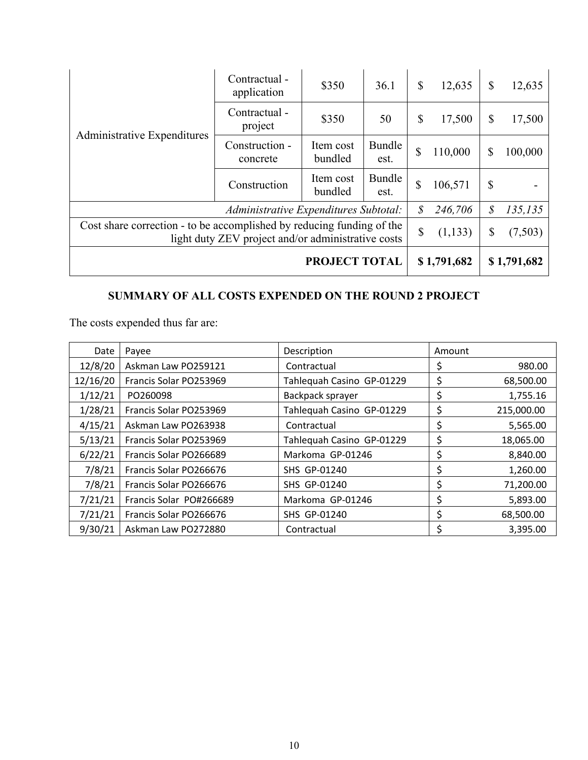| Administrative Expenditures                                                                                                 | Contractual -<br>application | \$350                | 36.1           | $\mathcal{S}$ | 12,635      | $\mathbb{S}$  | 12,635      |
|-----------------------------------------------------------------------------------------------------------------------------|------------------------------|----------------------|----------------|---------------|-------------|---------------|-------------|
|                                                                                                                             | Contractual -<br>project     | \$350                | 50             | $\mathbb{S}$  | 17,500      | \$            | 17,500      |
|                                                                                                                             | Construction -<br>concrete   | Item cost<br>bundled | Bundle<br>est. | \$            | 110,000     | \$            | 100,000     |
|                                                                                                                             | Construction                 | Item cost<br>bundled | Bundle<br>est. | \$            | 106,571     | $\mathcal{S}$ |             |
| Administrative Expenditures Subtotal:                                                                                       |                              |                      |                |               | 246,706     | \$            | 135,135     |
| Cost share correction - to be accomplished by reducing funding of the<br>light duty ZEV project and/or administrative costs |                              |                      |                |               | (1, 133)    | \$            | (7,503)     |
| PROJECT TOTAL                                                                                                               |                              |                      |                |               | \$1,791,682 |               | \$1,791,682 |

# **SUMMARY OF ALL COSTS EXPENDED ON THE ROUND 2 PROJECT**

The costs expended thus far are:

| Date     | Payee                   | Description               | Amount |            |
|----------|-------------------------|---------------------------|--------|------------|
| 12/8/20  | Askman Law PO259121     | Contractual               | \$     | 980.00     |
| 12/16/20 | Francis Solar PO253969  | Tahlequah Casino GP-01229 | \$     | 68,500.00  |
| 1/12/21  | PO260098                | Backpack sprayer          | \$     | 1,755.16   |
| 1/28/21  | Francis Solar PO253969  | Tahlequah Casino GP-01229 | \$     | 215,000.00 |
| 4/15/21  | Askman Law PO263938     | Contractual               | \$     | 5,565.00   |
| 5/13/21  | Francis Solar PO253969  | Tahlequah Casino GP-01229 | \$     | 18,065.00  |
| 6/22/21  | Francis Solar PO266689  | Markoma GP-01246          | \$     | 8,840.00   |
| 7/8/21   | Francis Solar PO266676  | SHS GP-01240              | \$     | 1,260.00   |
| 7/8/21   | Francis Solar PO266676  | SHS GP-01240              | \$     | 71,200.00  |
| 7/21/21  | Francis Solar PO#266689 | Markoma GP-01246          | \$     | 5,893.00   |
| 7/21/21  | Francis Solar PO266676  | SHS GP-01240              | \$     | 68,500.00  |
| 9/30/21  | Askman Law PO272880     | Contractual               | Ś      | 3,395.00   |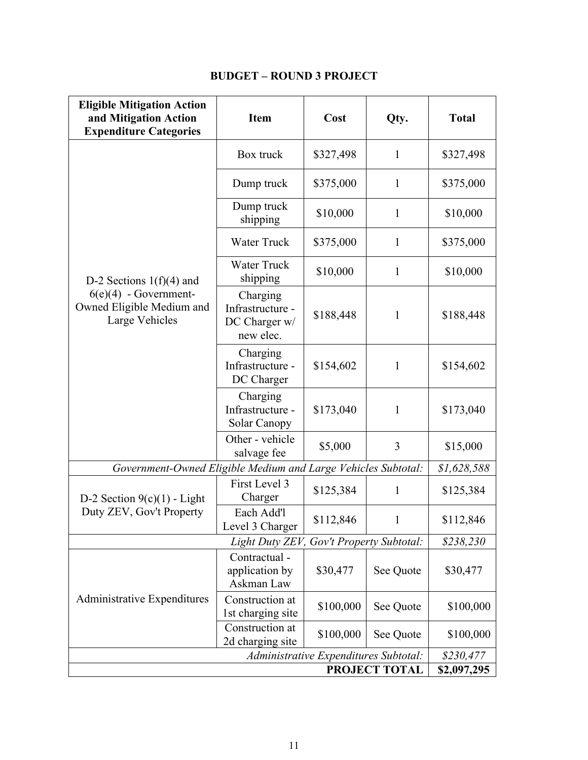| <b>Eligible Mitigation Action</b><br>and Mitigation Action<br><b>Expenditure Categories</b> | <b>Item</b>                                                | Cost                                  | Qty.         | <b>Total</b> |  |  |
|---------------------------------------------------------------------------------------------|------------------------------------------------------------|---------------------------------------|--------------|--------------|--|--|
|                                                                                             | Box truck                                                  | \$327,498                             | $\mathbf{1}$ | \$327,498    |  |  |
|                                                                                             | Dump truck                                                 | \$375,000                             | $\mathbf{1}$ | \$375,000    |  |  |
|                                                                                             | Dump truck<br>shipping                                     | \$10,000                              | $\mathbf{1}$ | \$10,000     |  |  |
|                                                                                             | <b>Water Truck</b><br>\$375,000                            |                                       | $\mathbf{1}$ | \$375,000    |  |  |
| D-2 Sections $1(f)(4)$ and                                                                  | <b>Water Truck</b><br>shipping                             | \$10,000                              | $\mathbf{1}$ | \$10,000     |  |  |
| $6(e)(4)$ - Government-<br>Owned Eligible Medium and<br>Large Vehicles                      | Charging<br>Infrastructure -<br>DC Charger w/<br>new elec. | \$188,448                             | 1            | \$188,448    |  |  |
|                                                                                             | Charging<br>Infrastructure -<br>DC Charger                 | \$154,602                             |              | \$154,602    |  |  |
|                                                                                             | Charging<br>Infrastructure -<br>Solar Canopy               | \$173,040                             | $\mathbf{1}$ | \$173,040    |  |  |
|                                                                                             | Other - vehicle<br>salvage fee                             | \$5,000                               | 3            | \$15,000     |  |  |
| Government-Owned Eligible Medium and Large Vehicles Subtotal:                               |                                                            |                                       |              | \$1,628,588  |  |  |
| D-2 Section $9(c)(1)$ - Light                                                               | First Level 3<br>Charger                                   | \$125,384                             |              | \$125,384    |  |  |
| Duty ZEV, Gov't Property                                                                    | Each Add'l<br>Level 3 Charger                              | \$112,846                             | 1            | \$112,846    |  |  |
|                                                                                             | Light Duty ZEV, Gov't Property Subtotal:                   |                                       |              | \$238,230    |  |  |
|                                                                                             | Contractual -<br>application by<br>\$30,477<br>Askman Law  |                                       | See Quote    | \$30,477     |  |  |
| Administrative Expenditures                                                                 | Construction at<br>1st charging site                       | \$100,000                             | See Quote    | \$100,000    |  |  |
|                                                                                             | Construction at<br>2d charging site                        | \$100,000                             | See Quote    | \$100,000    |  |  |
|                                                                                             |                                                            | Administrative Expenditures Subtotal: |              | \$230,477    |  |  |
| PROJECT TOTAL<br>\$2,097,295                                                                |                                                            |                                       |              |              |  |  |

# **BUDGET – ROUND 3 PROJECT**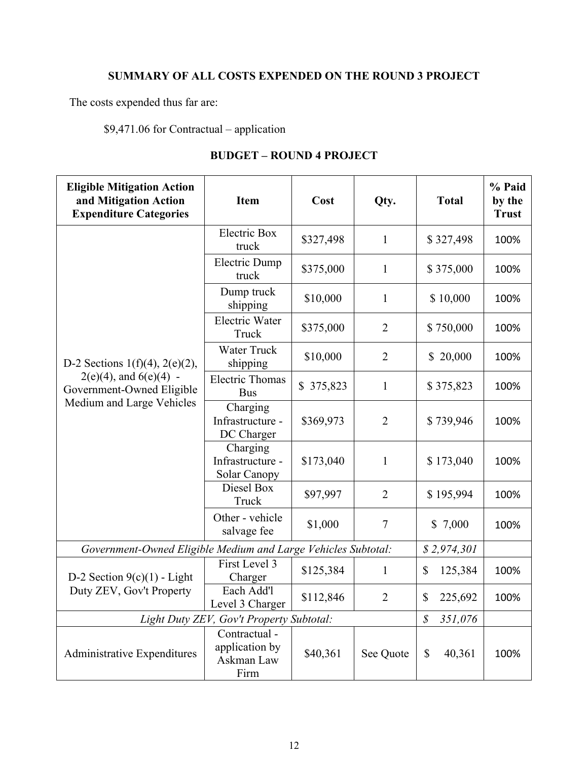# **SUMMARY OF ALL COSTS EXPENDED ON THE ROUND 3 PROJECT**

The costs expended thus far are:

\$9,471.06 for Contractual – application

| <b>Eligible Mitigation Action</b><br>and Mitigation Action<br><b>Expenditure Categories</b> | <b>Item</b>                                           | Cost      | Qty.           | <b>Total</b>                        | % Paid<br>by the<br><b>Trust</b> |
|---------------------------------------------------------------------------------------------|-------------------------------------------------------|-----------|----------------|-------------------------------------|----------------------------------|
|                                                                                             | Electric Box<br>truck                                 | \$327,498 | $\mathbf{1}$   | \$327,498                           | 100%                             |
|                                                                                             | <b>Electric Dump</b><br>truck                         | \$375,000 | $\mathbf{1}$   | \$375,000                           | 100%                             |
|                                                                                             | Dump truck<br>shipping                                | \$10,000  | $\mathbf{1}$   | \$10,000                            | 100%                             |
|                                                                                             | <b>Electric Water</b><br>Truck                        | \$375,000 | $\overline{2}$ | \$750,000                           | 100%                             |
| D-2 Sections $1(f)(4)$ , $2(e)(2)$ ,                                                        | <b>Water Truck</b><br>shipping                        | \$10,000  | $\overline{2}$ | \$20,000                            | 100%                             |
| $2(e)(4)$ , and $6(e)(4)$ -<br>Government-Owned Eligible                                    | <b>Electric Thomas</b><br><b>Bus</b>                  | \$375,823 | $\mathbf{1}$   | \$375,823                           | 100%                             |
| Medium and Large Vehicles                                                                   | Charging<br>Infrastructure -<br>DC Charger            | \$369,973 | $\overline{2}$ | \$739,946                           | 100%                             |
|                                                                                             | Charging<br>Infrastructure -<br>Solar Canopy          | \$173,040 | $\mathbf{1}$   | \$173,040                           | 100%                             |
|                                                                                             | Diesel Box<br>Truck                                   | \$97,997  | $\overline{2}$ | \$195,994                           | 100%                             |
|                                                                                             | Other - vehicle<br>salvage fee                        | \$1,000   | $\overline{7}$ | \$7,000                             | 100%                             |
| Government-Owned Eligible Medium and Large Vehicles Subtotal:                               |                                                       |           |                | \$2,974,301                         |                                  |
| D-2 Section $9(c)(1)$ - Light                                                               | First Level 3<br>Charger                              | \$125,384 | 1              | \$<br>125,384                       | 100%                             |
| Duty ZEV, Gov't Property                                                                    | Each Add'l<br>Level 3 Charger                         | \$112,846 | $\overline{2}$ | \$<br>225,692                       | 100%                             |
| Light Duty ZEV, Gov't Property Subtotal:                                                    |                                                       |           | 351,076<br>\$  |                                     |                                  |
| Administrative Expenditures                                                                 | Contractual -<br>application by<br>Askman Law<br>Firm | \$40,361  | See Quote      | $\boldsymbol{\mathsf{S}}$<br>40,361 | 100%                             |

## **BUDGET – ROUND 4 PROJECT**